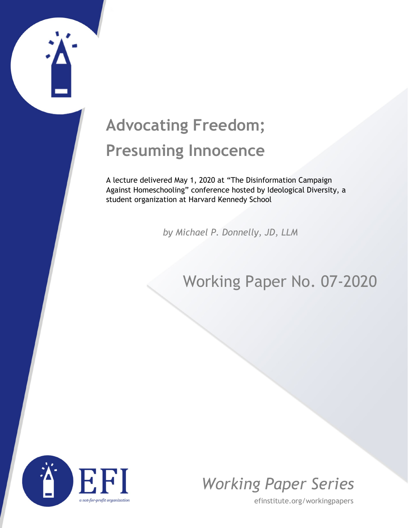## **Advocating Freedom; Presuming Innocence**

A lecture delivered May 1, 2020 at "The Disinformation Campaign Against Homeschooling" conference hosted by Ideological Diversity, a student organization at Harvard Kennedy School

*by Michael P. Donnelly, JD, LLM*

## Working Paper No. 07-2020





efinstitute.org/workingpapers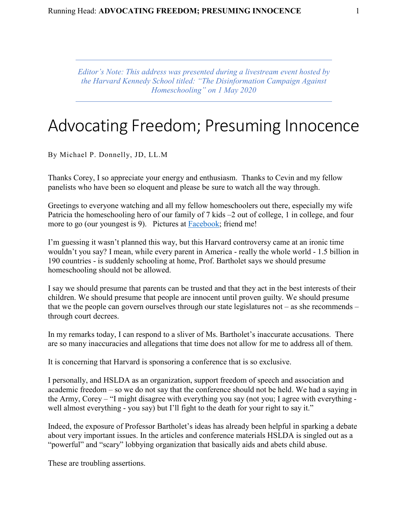*Editor's Note: This address was presented during a livestream event hosted by the Harvard Kennedy School titled: "The Disinformation Campaign Against Homeschooling" on 1 May 2020*

## Advocating Freedom; Presuming Innocence

By Michael P. Donnelly, JD, LL.M

Thanks Corey, I so appreciate your energy and enthusiasm. Thanks to Cevin and my fellow panelists who have been so eloquent and please be sure to watch all the way through.

Greetings to everyone watching and all my fellow homeschoolers out there, especially my wife Patricia the homeschooling hero of our family of 7 kids –2 out of college, 1 in college, and four more to go (our youngest is 9). Pictures at [Facebook;](http://www.facebook.com/mpdonnelly2) friend me!

I'm guessing it wasn't planned this way, but this Harvard controversy came at an ironic time wouldn't you say? I mean, while every parent in America - really the whole world - 1.5 billion in 190 countries - is suddenly schooling at home, Prof. Bartholet says we should presume homeschooling should not be allowed.

I say we should presume that parents can be trusted and that they act in the best interests of their children. We should presume that people are innocent until proven guilty. We should presume that we the people can govern ourselves through our state legislatures not – as she recommends – through court decrees.

In my remarks today, I can respond to a sliver of Ms. Bartholet's inaccurate accusations. There are so many inaccuracies and allegations that time does not allow for me to address all of them.

It is concerning that Harvard is sponsoring a conference that is so exclusive.

I personally, and HSLDA as an organization, support freedom of speech and association and academic freedom – so we do not say that the conference should not be held. We had a saying in the Army, Corey – "I might disagree with everything you say (not you; I agree with everything well almost everything - you say) but I'll fight to the death for your right to say it."

Indeed, the exposure of Professor Bartholet's ideas has already been helpful in sparking a debate about very important issues. In the articles and conference materials HSLDA is singled out as a "powerful" and "scary" lobbying organization that basically aids and abets child abuse.

These are troubling assertions.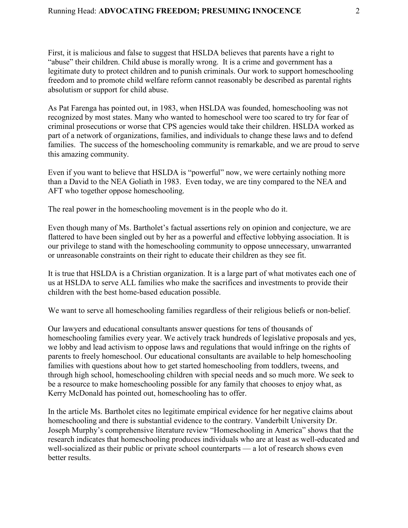First, it is malicious and false to suggest that HSLDA believes that parents have a right to "abuse" their children. Child abuse is morally wrong. It is a crime and government has a legitimate duty to protect children and to punish criminals. Our work to support homeschooling freedom and to promote child welfare reform cannot reasonably be described as parental rights absolutism or support for child abuse.

As Pat Farenga has pointed out, in 1983, when HSLDA was founded, homeschooling was not recognized by most states. Many who wanted to homeschool were too scared to try for fear of criminal prosecutions or worse that CPS agencies would take their children. HSLDA worked as part of a network of organizations, families, and individuals to change these laws and to defend families. The success of the homeschooling community is remarkable, and we are proud to serve this amazing community.

Even if you want to believe that HSLDA is "powerful" now, we were certainly nothing more than a David to the NEA Goliath in 1983. Even today, we are tiny compared to the NEA and AFT who together oppose homeschooling.

The real power in the homeschooling movement is in the people who do it.

Even though many of Ms. Bartholet's factual assertions rely on opinion and conjecture, we are flattered to have been singled out by her as a powerful and effective lobbying association. It is our privilege to stand with the homeschooling community to oppose unnecessary, unwarranted or unreasonable constraints on their right to educate their children as they see fit.

It is true that HSLDA is a Christian organization. It is a large part of what motivates each one of us at HSLDA to serve ALL families who make the sacrifices and investments to provide their children with the best home-based education possible.

We want to serve all homeschooling families regardless of their religious beliefs or non-belief.

Our lawyers and educational consultants answer questions for tens of thousands of homeschooling families every year. We actively track hundreds of legislative proposals and yes, we lobby and lead activism to oppose laws and regulations that would infringe on the rights of parents to freely homeschool. Our educational consultants are available to help homeschooling families with questions about how to get started homeschooling from toddlers, tweens, and through high school, homeschooling children with special needs and so much more. We seek to be a resource to make homeschooling possible for any family that chooses to enjoy what, as Kerry McDonald has pointed out, homeschooling has to offer.

In the article Ms. Bartholet cites no legitimate empirical evidence for her negative claims about homeschooling and there is substantial evidence to the contrary. Vanderbilt University Dr. Joseph Murphy's comprehensive literature review "Homeschooling in America" shows that the research indicates that homeschooling produces individuals who are at least as well-educated and well-socialized as their public or private school counterparts — a lot of research shows even better results.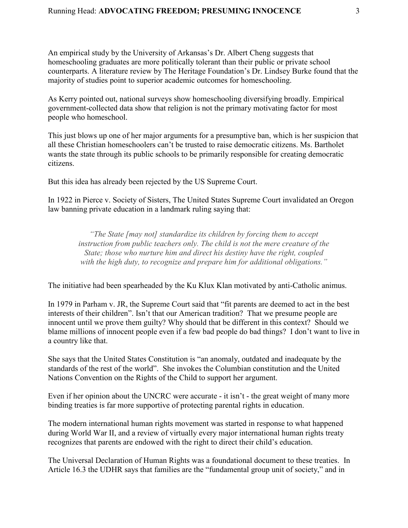An empirical study by the University of Arkansas's Dr. Albert Cheng suggests that homeschooling graduates are more politically tolerant than their public or private school counterparts. A literature review by The Heritage Foundation's Dr. Lindsey Burke found that the majority of studies point to superior academic outcomes for homeschooling.

As Kerry pointed out, national surveys show homeschooling diversifying broadly. Empirical government-collected data show that religion is not the primary motivating factor for most people who homeschool.

This just blows up one of her major arguments for a presumptive ban, which is her suspicion that all these Christian homeschoolers can't be trusted to raise democratic citizens. Ms. Bartholet wants the state through its public schools to be primarily responsible for creating democratic citizens.

But this idea has already been rejected by the US Supreme Court.

In 1922 in Pierce v. Society of Sisters, The United States Supreme Court invalidated an Oregon law banning private education in a landmark ruling saying that:

*"The State [may not] standardize its children by forcing them to accept instruction from public teachers only. The child is not the mere creature of the State; those who nurture him and direct his destiny have the right, coupled with the high duty, to recognize and prepare him for additional obligations."*

The initiative had been spearheaded by the Ku Klux Klan motivated by anti-Catholic animus.

In 1979 in Parham v. JR, the Supreme Court said that "fit parents are deemed to act in the best interests of their children". Isn't that our American tradition? That we presume people are innocent until we prove them guilty? Why should that be different in this context? Should we blame millions of innocent people even if a few bad people do bad things? I don't want to live in a country like that.

She says that the United States Constitution is "an anomaly, outdated and inadequate by the standards of the rest of the world". She invokes the Columbian constitution and the United Nations Convention on the Rights of the Child to support her argument.

Even if her opinion about the UNCRC were accurate - it isn't - the great weight of many more binding treaties is far more supportive of protecting parental rights in education.

The modern international human rights movement was started in response to what happened during World War II, and a review of virtually every major international human rights treaty recognizes that parents are endowed with the right to direct their child's education.

The Universal Declaration of Human Rights was a foundational document to these treaties. In Article 16.3 the UDHR says that families are the "fundamental group unit of society," and in